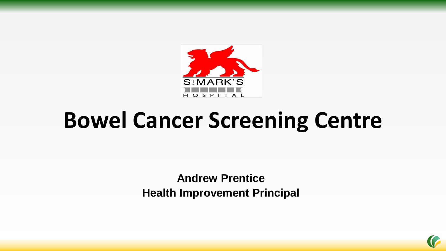

# **Bowel Cancer Screening Centre**

**Andrew Prentice Health Improvement Principal**

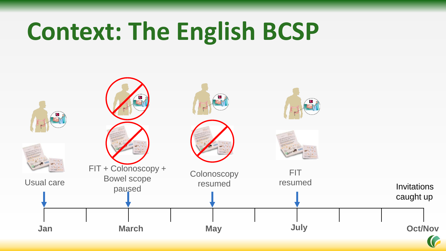# **Context: The English BCSP**

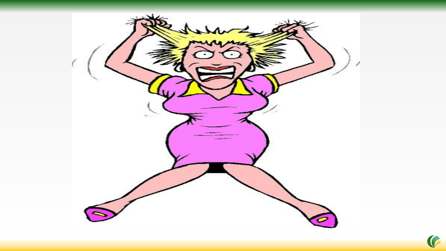

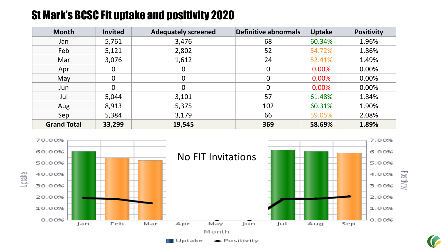## St Mark's BCSC Fit uptake and positivity 2020

| <b>Month</b>       | <b>Invited</b> | <b>Adequately screened</b> | Definitive abnormals | <b>Uptake</b> | <b>Positivity</b> |
|--------------------|----------------|----------------------------|----------------------|---------------|-------------------|
| Jan                | 5,761          | 3,476                      | 68                   | 60.34%        | 1.96%             |
| Feb                | 5,121          | 2,802                      | 52                   | 54.72%        | 1.86%             |
| Mar                | 3,076          | 1,612                      | 24                   | 52.41%        | 1.49%             |
| Apr                | 0              | 0                          | 0                    | 0.00%         | 0.00%             |
| May                | $\mathbf 0$    | 0                          | 0                    | 0.00%         | 0.00%             |
| Jun                | $\Omega$       | 0                          | 0                    | 0.00%         | 0.00%             |
| Jul                | 5,044          | 3,101                      | 57                   | 61.48%        | 1.84%             |
| Aug                | 8,913          | 5,375                      | 102                  | 60.31%        | 1.90%             |
| Sep                | 5,384          | 3,179                      | 66                   | 59.05%        | 2.08%             |
| <b>Grand Total</b> | 33,299         | 19,545                     | 369                  | 58.69%        | 1.89%             |

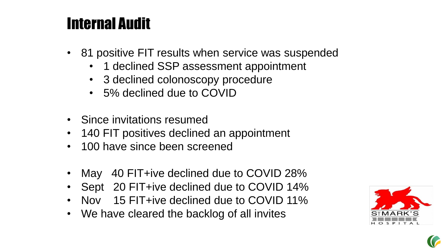# Internal Audit

- 81 positive FIT results when service was suspended
	- 1 declined SSP assessment appointment
	- 3 declined colonoscopy procedure
	- 5% declined due to COVID
- Since invitations resumed
- 140 FIT positives declined an appointment
- 100 have since been screened
- May 40 FIT+ive declined due to COVID 28%
- Sept 20 FIT+ive declined due to COVID 14%
- Nov 15 FIT+ive declined due to COVID 11%
- We have cleared the backlog of all invites



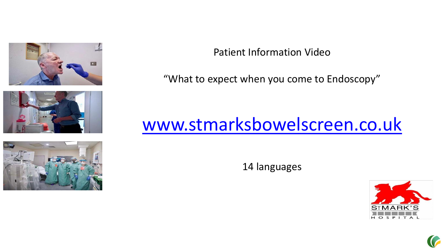





#### Patient Information Video

"What to expect when you come to Endoscopy"

# [www.stmarksbowelscreen.co.uk](http://www.stmarksbowelscreen.co.uk/)

14 languages



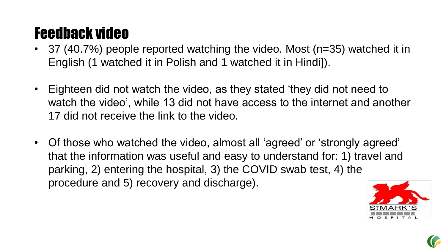# Feedback video

- 37 (40.7%) people reported watching the video. Most (n=35) watched it in English (1 watched it in Polish and 1 watched it in Hindi]).
- Eighteen did not watch the video, as they stated 'they did not need to watch the video', while 13 did not have access to the internet and another 17 did not receive the link to the video.
- Of those who watched the video, almost all 'agreed' or 'strongly agreed' that the information was useful and easy to understand for: 1) travel and parking, 2) entering the hospital, 3) the COVID swab test, 4) the procedure and 5) recovery and discharge).



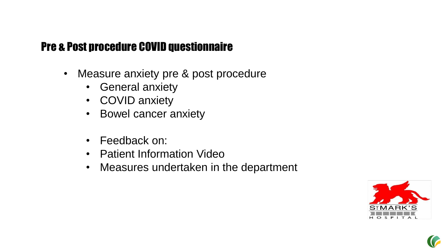### Pre & Post procedure COVID questionnaire

- Measure anxiety pre & post procedure
	- General anxiety
	- COVID anxiety
	- Bowel cancer anxiety
	- Feedback on:
	- Patient Information Video
	- Measures undertaken in the department



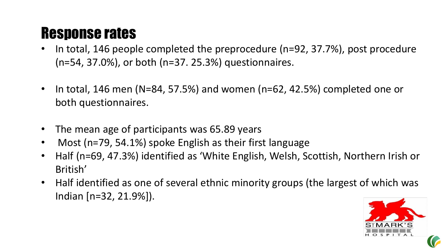# Response rates

- In total, 146 people completed the preprocedure (n=92, 37.7%), post procedure (n=54, 37.0%), or both (n=37. 25.3%) questionnaires.
- In total, 146 men (N=84, 57.5%) and women (n=62, 42.5%) completed one or both questionnaires.
- The mean age of participants was 65.89 years
- Most (n=79, 54.1%) spoke English as their first language
- Half (n=69, 47.3%) identified as 'White English, Welsh, Scottish, Northern Irish or British'
- Half identified as one of several ethnic minority groups (the largest of which was Indian [n=32, 21.9%]).

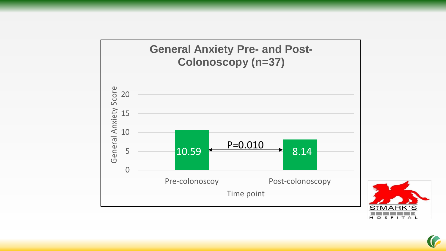



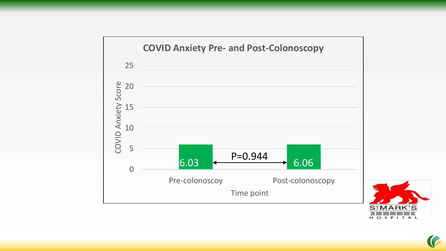



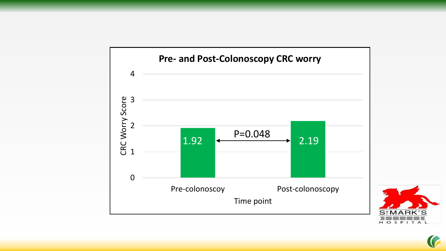



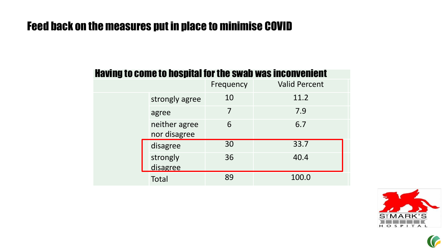### Feed back on the measures put in place to minimise COVID

|                               |           | naviny to come to nospital for the swab was inconvenient |  |
|-------------------------------|-----------|----------------------------------------------------------|--|
|                               | Frequency | <b>Valid Percent</b>                                     |  |
| strongly agree                | 10        | 11.2                                                     |  |
| agree                         | 7         | 7.9                                                      |  |
| neither agree<br>nor disagree | 6         | 6.7                                                      |  |
| disagree                      | 30        | 33.7                                                     |  |
| strongly<br>disagree          | 36        | 40.4                                                     |  |
| Total                         | 89        | 100.0                                                    |  |

#### Having to come to hospital for the swab was inconvenient



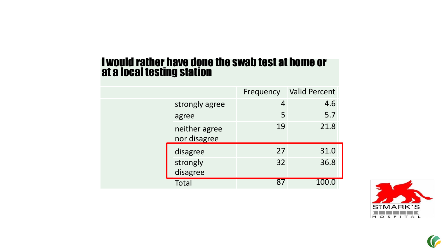#### Iwould rather have done the swab test at home or at a local testing station

|                               |    | Frequency Valid Percent |
|-------------------------------|----|-------------------------|
| strongly agree                | 4  | 4.6                     |
| agree                         | 5  | 5.7                     |
| neither agree<br>nor disagree | 19 | 21.8                    |
| disagree                      | 27 | 31.0                    |
| strongly<br>disagree          | 32 | 36.8                    |
| <b>Total</b>                  |    |                         |



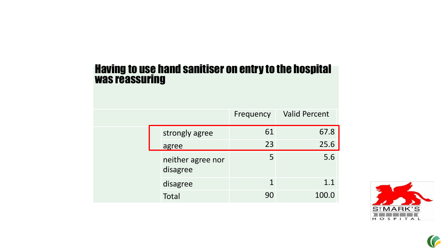#### Having to use hand sanitiser on entry to the hospital was reassuring

|                               | Frequency | <b>Valid Percent</b> |
|-------------------------------|-----------|----------------------|
| strongly agree                | 61        | 67.8                 |
| agree                         | 23        | 25.6                 |
| neither agree nor<br>disagree | 5         | 5.6                  |
| disagree                      | 1         | 1.1                  |
| Total                         | 90        | 100.0                |



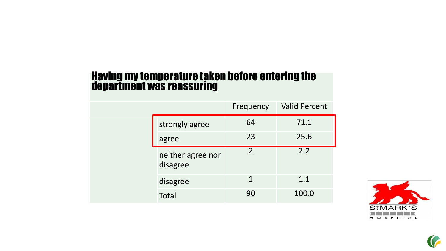#### Having my temperature taken before entering the department was reassuring

|                               | Frequency      | <b>Valid Percent</b> |
|-------------------------------|----------------|----------------------|
| strongly agree                | 64             | 71.1                 |
| agree                         | 23             | 25.6                 |
| neither agree nor<br>disagree | $\mathfrak{D}$ | 2.2                  |
| disagree                      |                | 1.1                  |
| <b>Total</b>                  | 90             | 100.0                |



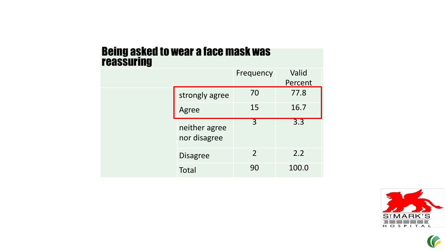#### Being asked to wear a face mask was **reassuring**

|                               | Frequency      | Valid<br>Percent |
|-------------------------------|----------------|------------------|
| strongly agree                | 70             | 77.8             |
| Agree                         | 15             | 16.7             |
| neither agree<br>nor disagree | 3              | 3.3              |
| <b>Disagree</b>               | $\overline{2}$ | 2.2              |
| <b>Total</b>                  | 90             | 100.0            |



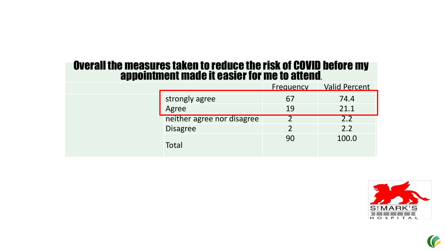#### Overall the measures taken to reduce the risk of COVID before my appointment made it easier for me to attend.

|                            | <b>Frequency</b> | <b>Valid Percent</b> |
|----------------------------|------------------|----------------------|
| strongly agree             | 6/               | 74.4                 |
| Agree                      | 19               | 21.1                 |
| neither agree nor disagree |                  | 2.2                  |
| <b>Disagree</b>            |                  | 2.2                  |
| Total                      | 90               | 100.0                |



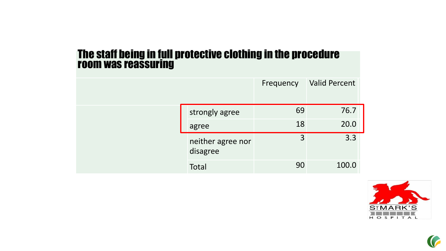#### The staff being in full protective clothing in the procedure room was reassuring

|                               | Frequency | <b>Valid Percent</b> |
|-------------------------------|-----------|----------------------|
| strongly agree                | 69        | 76.7                 |
| agree                         | 18        | 20.0                 |
| neither agree nor<br>disagree | 3         | 3.3                  |
| <b>Total</b>                  | 90        | 100.0                |



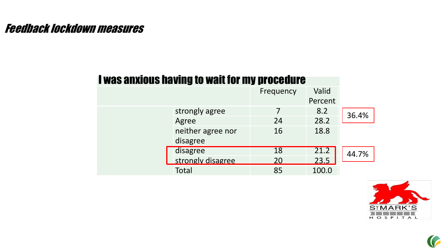### Feedback lockdown measures

### I was anxious having to wait for my procedure

|                   | Frequency | Valid   |       |
|-------------------|-----------|---------|-------|
|                   |           | Percent |       |
| strongly agree    |           | 8.2     | 36.4% |
| Agree             | 24        | 28.2    |       |
| neither agree nor | 16        | 18.8    |       |
| disagree          |           |         |       |
| disagree          | 18        | 21.2    | 44.7% |
| strongly disagree | 20        | 23.5    |       |
| Total             | 85        | 100.0   |       |
|                   |           |         |       |



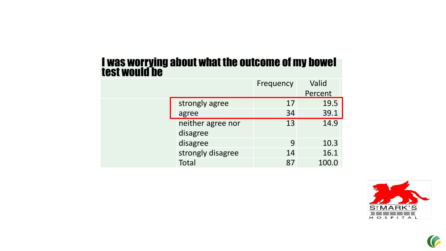#### I was worrying about what the outcome of my bowel test would be

|                   | Frequency | Valid   |
|-------------------|-----------|---------|
|                   |           | Percent |
| strongly agree    | 17        | 19.5    |
| agree             | 34        | 39.1    |
| neither agree nor | 13        | 14.9    |
| disagree          |           |         |
| disagree          | 9         | 10.3    |
| strongly disagree | 14        | 16.1    |
| Total             | 87        | 100.0   |



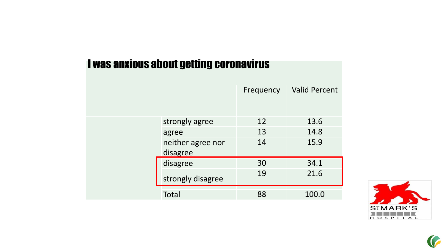### I was anxious about getting coronavirus

|                               | Frequency | <b>Valid Percent</b> |
|-------------------------------|-----------|----------------------|
| strongly agree                | 12        | 13.6                 |
| agree                         | 13        | 14.8                 |
| neither agree nor<br>disagree | 14        | 15.9                 |
| disagree                      | 30        | 34.1                 |
| strongly disagree             | 19        | 21.6                 |
| <b>Total</b>                  | 88        | 100.0                |



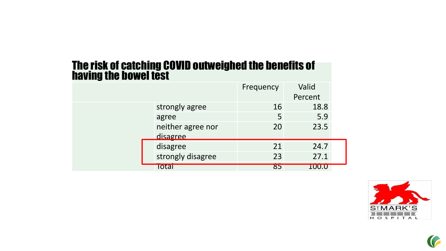|                       | The risk of catching COVID outweighed the benefits of |
|-----------------------|-------------------------------------------------------|
| having the bowel test |                                                       |

|                   | Frequency | Valid<br>Percent |  |
|-------------------|-----------|------------------|--|
| strongly agree    | 16        | 18.8             |  |
| agree             | 5         | 5.9              |  |
| neither agree nor | 20        | 23.5             |  |
| disagree          |           |                  |  |
| disagree          | 21        | 24.7             |  |
| strongly disagree | 23        | 27.1             |  |
| lotal             | 85        | 100.0            |  |



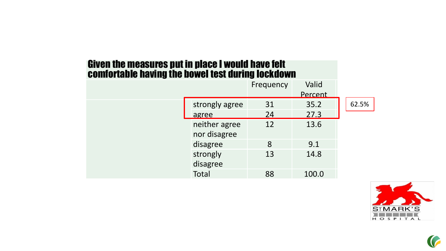#### Given the measures put in place I would have felt comfortable having the bowel test during lockdown

|  |                               | Frequency | Valid<br>Percent |       |
|--|-------------------------------|-----------|------------------|-------|
|  | strongly agree<br>agree       | 31<br>24  | 35.2<br>27.3     | 62.5% |
|  | neither agree<br>nor disagree | 12        | 13.6             |       |
|  | disagree                      | 8         | 9.1              |       |
|  | strongly<br>disagree          | 13        | 14.8             |       |
|  | Total                         | 88        | 100.0            |       |